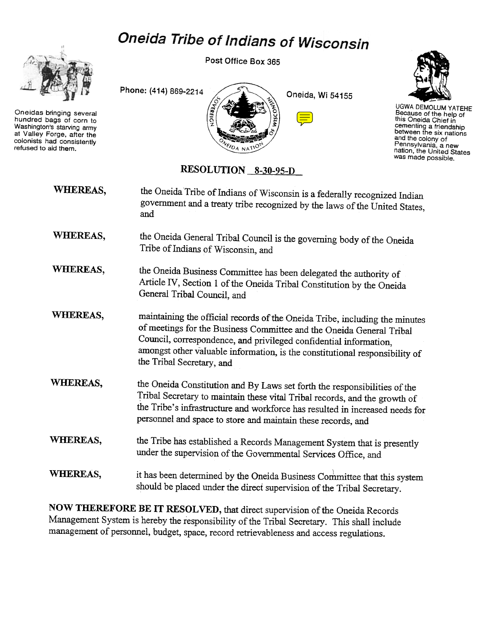## Oneida Tribe of Indians of Wisconsin



Oneidas bringing several hundred bags of corn to Washington's starving army at Valley Forge. after the colonists had consistently refused to aid them.

Post Office Box 365





UGWA DEMOLUM YATEHE Because of the help of<br>this Oneida Chief in cementing a friendship<br>between the six nation<br>and the colony of Pennsylvania, a new nation, the United States was made possible.

## RESOLUTION 8-30-95-D

| WHEREAS, | the Oneida Tribe of Indians of Wisconsin is a federally recognized Indian<br>government and a treaty tribe recognized by the laws of the United States,<br>and                                                                                                                                                                       |
|----------|--------------------------------------------------------------------------------------------------------------------------------------------------------------------------------------------------------------------------------------------------------------------------------------------------------------------------------------|
| WHEREAS, | the Oneida General Tribal Council is the governing body of the Oneida<br>Tribe of Indians of Wisconsin, and                                                                                                                                                                                                                          |
| WHEREAS, | the Oneida Business Committee has been delegated the authority of<br>Article IV, Section 1 of the Oneida Tribal Constitution by the Oneida<br>General Tribal Council, and                                                                                                                                                            |
| WHEREAS, | maintaining the official records of the Oneida Tribe, including the minutes<br>of meetings for the Business Committee and the Oneida General Tribal<br>Council, correspondence, and privileged confidential information,<br>amongst other valuable information, is the constitutional responsibility of<br>the Tribal Secretary, and |
| WHEREAS, | the Oneida Constitution and By Laws set forth the responsibilities of the<br>Tribal Secretary to maintain these vital Tribal records, and the growth of<br>the Tribe's infrastructure and workforce has resulted in increased needs for<br>personnel and space to store and maintain these records, and                              |
| WHEREAS, | the Tribe has established a Records Management System that is presently<br>under the supervision of the Governmental Services Office, and                                                                                                                                                                                            |
| WHEREAS, | it has been determined by the Oneida Business Committee that this system<br>should be placed under the direct supervision of the Tribal Secretary.                                                                                                                                                                                   |

NOW THEREFORE BE IT RESOLVED, that direct supervision of the Oneida Records Management System is hereby the responsibility of the Tribal Secretary. This shall include management of personnel, budget, space, record retrievableness and access regulations.